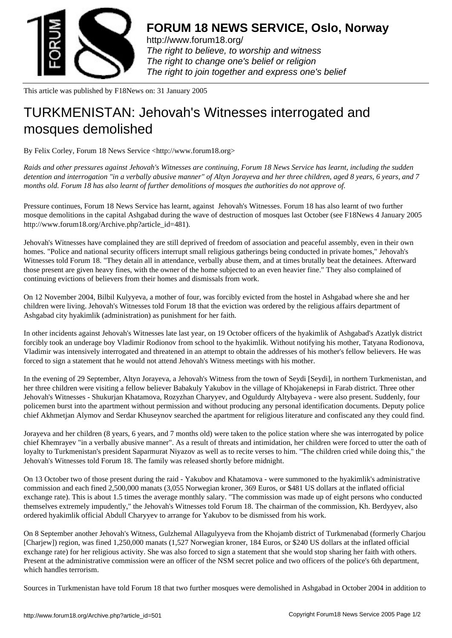

http://www.forum18.org/ The right to believe, to worship and witness The right to change one's belief or religion [The right to join together](http://www.forum18.org/) and express one's belief

This article was published by F18News on: 31 January 2005

## [TURKMENISTAN:](http://www.forum18.org) Jehovah's Witnesses interrogated and mosques demolished

By Felix Corley, Forum 18 News Service <http://www.forum18.org>

*Raids and other pressures against Jehovah's Witnesses are continuing, Forum 18 News Service has learnt, including the sudden detention and interrogation "in a verbally abusive manner" of Altyn Jorayeva and her three children, aged 8 years, 6 years, and 7 months old. Forum 18 has also learnt of further demolitions of mosques the authorities do not approve of.*

Pressure continues, Forum 18 News Service has learnt, against Jehovah's Witnesses. Forum 18 has also learnt of two further mosque demolitions in the capital Ashgabad during the wave of destruction of mosques last October (see F18News 4 January 2005 http://www.forum18.org/Archive.php?article\_id=481).

Jehovah's Witnesses have complained they are still deprived of freedom of association and peaceful assembly, even in their own homes. "Police and national security officers interrupt small religious gatherings being conducted in private homes," Jehovah's Witnesses told Forum 18. "They detain all in attendance, verbally abuse them, and at times brutally beat the detainees. Afterward those present are given heavy fines, with the owner of the home subjected to an even heavier fine." They also complained of continuing evictions of believers from their homes and dismissals from work.

On 12 November 2004, Bilbil Kulyyeva, a mother of four, was forcibly evicted from the hostel in Ashgabad where she and her children were living. Jehovah's Witnesses told Forum 18 that the eviction was ordered by the religious affairs department of Ashgabad city hyakimlik (administration) as punishment for her faith.

In other incidents against Jehovah's Witnesses late last year, on 19 October officers of the hyakimlik of Ashgabad's Azatlyk district forcibly took an underage boy Vladimir Rodionov from school to the hyakimlik. Without notifying his mother, Tatyana Rodionova, Vladimir was intensively interrogated and threatened in an attempt to obtain the addresses of his mother's fellow believers. He was forced to sign a statement that he would not attend Jehovah's Witness meetings with his mother.

In the evening of 29 September, Altyn Jorayeva, a Jehovah's Witness from the town of Seydi [Seydi], in northern Turkmenistan, and her three children were visiting a fellow believer Babakuly Yakubov in the village of Khojakenepsi in Farab district. Three other Jehovah's Witnesses - Shukurjan Khatamova, Rozyzhan Charyyev, and Oguldurdy Altybayeva - were also present. Suddenly, four policemen burst into the apartment without permission and without producing any personal identification documents. Deputy police chief Akhmetjan Alymov and Serdar Khuseynov searched the apartment for religious literature and confiscated any they could find.

Jorayeva and her children (8 years, 6 years, and 7 months old) were taken to the police station where she was interrogated by police chief Khemrayev "in a verbally abusive manner". As a result of threats and intimidation, her children were forced to utter the oath of loyalty to Turkmenistan's president Saparmurat Niyazov as well as to recite verses to him. "The children cried while doing this," the Jehovah's Witnesses told Forum 18. The family was released shortly before midnight.

On 13 October two of those present during the raid - Yakubov and Khatamova - were summoned to the hyakimlik's administrative commission and each fined 2,500,000 manats (3,055 Norwegian kroner, 369 Euros, or \$481 US dollars at the inflated official exchange rate). This is about 1.5 times the average monthly salary. "The commission was made up of eight persons who conducted themselves extremely impudently," the Jehovah's Witnesses told Forum 18. The chairman of the commission, Kh. Berdyyev, also ordered hyakimlik official Abdull Charyyev to arrange for Yakubov to be dismissed from his work.

On 8 September another Jehovah's Witness, Gulzhemal Allagulyyeva from the Khojamb district of Turkmenabad (formerly Charjou [Charjew]) region, was fined 1,250,000 manats (1,527 Norwegian kroner, 184 Euros, or \$240 US dollars at the inflated official exchange rate) for her religious activity. She was also forced to sign a statement that she would stop sharing her faith with others. Present at the administrative commission were an officer of the NSM secret police and two officers of the police's 6th department, which handles terrorism.

Sources in Turkmenistan have told Forum 18 that two further mosques were demolished in Ashgabad in October 2004 in addition to